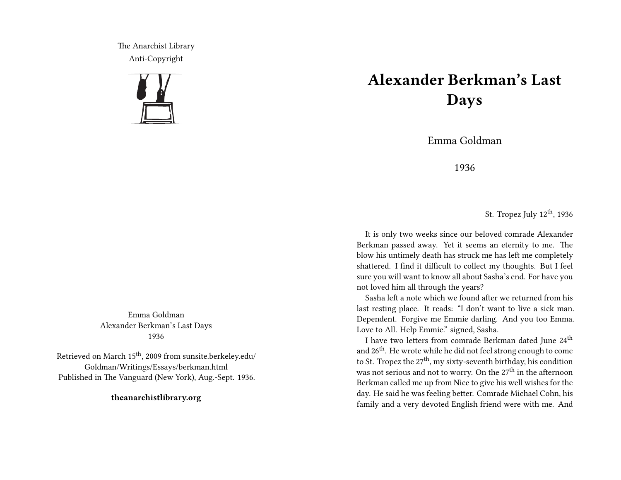The Anarchist Library Anti-Copyright



## **Alexander Berkman's Last Days**

Emma Goldman

1936

St. Tropez July 12<sup>th</sup>, 1936

It is only two weeks since our beloved comrade Alexander Berkman passed away. Yet it seems an eternity to me. The blow his untimely death has struck me has left me completely shattered. I find it difficult to collect my thoughts. But I feel sure you will want to know all about Sasha's end. For have you not loved him all through the years?

Sasha left a note which we found after we returned from his last resting place. It reads: "I don't want to live a sick man. Dependent. Forgive me Emmie darling. And you too Emma. Love to All. Help Emmie." signed, Sasha.

I have two letters from comrade Berkman dated June 24<sup>th</sup> and 26th. He wrote while he did not feel strong enough to come to St. Tropez the  $27<sup>th</sup>$ , my sixty-seventh birthday, his condition was not serious and not to worry. On the 27<sup>th</sup> in the afternoon Berkman called me up from Nice to give his well wishes for the day. He said he was feeling better. Comrade Michael Cohn, his family and a very devoted English friend were with me. And

Emma Goldman Alexander Berkman's Last Days 1936

Retrieved on March 15th, 2009 from sunsite.berkeley.edu/ Goldman/Writings/Essays/berkman.html Published in The Vanguard (New York), Aug.-Sept. 1936.

**theanarchistlibrary.org**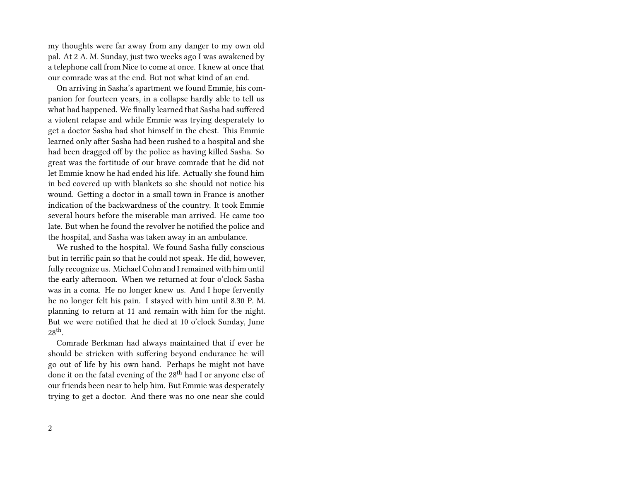my thoughts were far away from any danger to my own old pal. At 2 A. M. Sunday, just two weeks ago I was awakened by a telephone call from Nice to come at once. I knew at once that our comrade was at the end. But not what kind of an end.

On arriving in Sasha's apartment we found Emmie, his companion for fourteen years, in a collapse hardly able to tell us what had happened. We finally learned that Sasha had suffered a violent relapse and while Emmie was trying desperately to get a doctor Sasha had shot himself in the chest. This Emmie learned only after Sasha had been rushed to a hospital and she had been dragged off by the police as having killed Sasha. So great was the fortitude of our brave comrade that he did not let Emmie know he had ended his life. Actually she found him in bed covered up with blankets so she should not notice his wound. Getting a doctor in a small town in France is another indication of the backwardness of the country. It took Emmie several hours before the miserable man arrived. He came too late. But when he found the revolver he notified the police and the hospital, and Sasha was taken away in an ambulance.

We rushed to the hospital. We found Sasha fully conscious but in terrific pain so that he could not speak. He did, however, fully recognize us. Michael Cohn and I remained with him until the early afternoon. When we returned at four o'clock Sasha was in a coma. He no longer knew us. And I hope fervently he no longer felt his pain. I stayed with him until 8.30 P. M. planning to return at 11 and remain with him for the night. But we were notified that he died at 10 o'clock Sunday, June  $28<sup>th</sup>$ .

Comrade Berkman had always maintained that if ever he should be stricken with suffering beyond endurance he will go out of life by his own hand. Perhaps he might not have done it on the fatal evening of the 28<sup>th</sup> had I or anyone else of our friends been near to help him. But Emmie was desperately trying to get a doctor. And there was no one near she could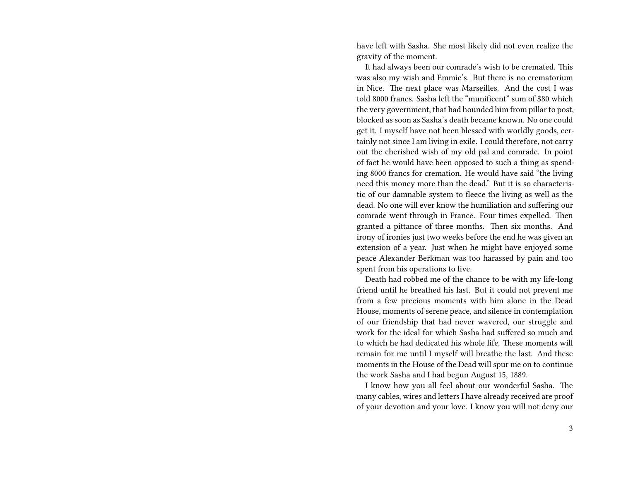have left with Sasha. She most likely did not even realize the gravity of the moment.

It had always been our comrade's wish to be cremated. This was also my wish and Emmie's. But there is no crematorium in Nice. The next place was Marseilles. And the cost I was told 8000 francs. Sasha left the "munificent" sum of \$80 which the very government, that had hounded him from pillar to post, blocked as soon as Sasha's death became known. No one could get it. I myself have not been blessed with worldly goods, certainly not since I am living in exile. I could therefore, not carry out the cherished wish of my old pal and comrade. In point of fact he would have been opposed to such a thing as spending 8000 francs for cremation. He would have said "the living need this money more than the dead." But it is so characteristic of our damnable system to fleece the living as well as the dead. No one will ever know the humiliation and suffering our comrade went through in France. Four times expelled. Then granted a pittance of three months. Then six months. And irony of ironies just two weeks before the end he was given an extension of a year. Just when he might have enjoyed some peace Alexander Berkman was too harassed by pain and too spent from his operations to live.

Death had robbed me of the chance to be with my life-long friend until he breathed his last. But it could not prevent me from a few precious moments with him alone in the Dead House, moments of serene peace, and silence in contemplation of our friendship that had never wavered, our struggle and work for the ideal for which Sasha had suffered so much and to which he had dedicated his whole life. These moments will remain for me until I myself will breathe the last. And these moments in the House of the Dead will spur me on to continue the work Sasha and I had begun August 15, 1889.

I know how you all feel about our wonderful Sasha. The many cables, wires and letters I have already received are proof of your devotion and your love. I know you will not deny our